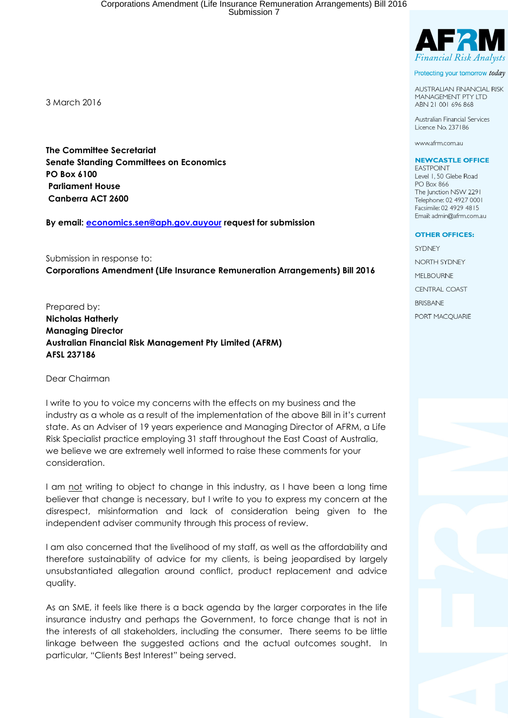3 March 2016

The Committee Secretariat Senate Standing Committees on Economics PO Box 6100 Parliament House Canberra ACT 2600

By email: economics.sen@aph.gov.auyour request for submission

Submission in response to: Corporations Amendment (Life Insurance Remuneration Arrangements) Bill 2016

Prepared by: Nicholas Hatherly Managing Director Australian Financial Risk Management Pty Limited (AFRM) AFSL 237186

Dear Chairman

I write to you to voice my concerns with the effects on my business and the industry as a whole as a result of the implementation of the above Bill in it's current state. As an Adviser of 19 years experience and Managing Director of AFRM, a Life Risk Specialist practice employing 31 staff throughout the East Coast of Australia, we believe we are extremely well informed to raise these comments for your consideration.

I am not writing to object to change in this industry, as I have been a long time believer that change is necessary, but I write to you to express my concern at the disrespect, misinformation and lack of consideration being given to the independent adviser community through this process of review.

I am also concerned that the livelihood of my staff, as well as the affordability and therefore sustainability of advice for my clients, is being jeopardised by largely unsubstantiated allegation around conflict, product replacement and advice quality.

As an SME, it feels like there is a back agenda by the larger corporates in the life insurance industry and perhaps the Government, to force change that is not in the interests of all stakeholders, including the consumer. There seems to be little linkage between the suggested actions and the actual outcomes sought. In particular, "Clients Best Interest" being served.



Protecting your tomorrow today

**AUSTRALIAN FINANCIAL RISK MANAGEMENT PTY LTD** ABN 21 001 696 868

Australian Financial Services Licence No. 237186

www.afrm.com.au

#### **NEWCASTLE OFFICE**

**EASTPOINT** Level 1, 50 Glebe Road **PO Box 866** The Junction NSW 2291 Telephone: 02 4927 0001 Facsimile: 02 4929 4815 Email: admin@afrm.com.au

#### **OTHER OFFICES:**

SYDNEY NORTH SYDNEY **MELBOURNE CENTRAL COAST BRISBANE** PORT MACOUARIE

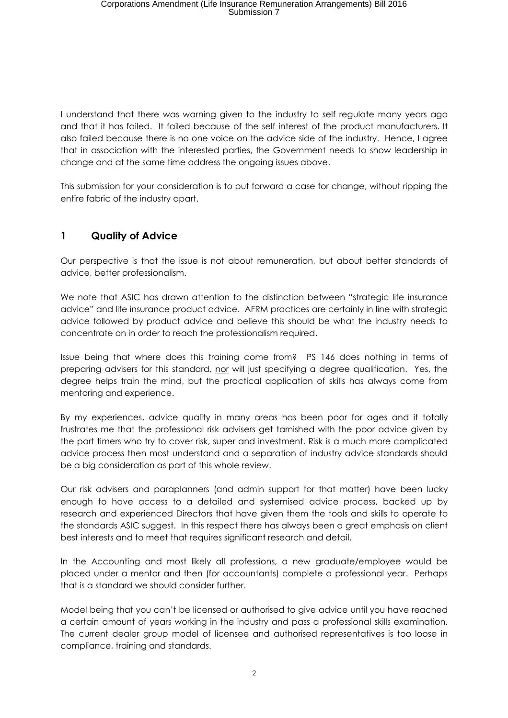I understand that there was warning given to the industry to self regulate many years ago and that it has failed. It failed because of the self interest of the product manufacturers. It also failed because there is no one voice on the advice side of the industry. Hence, I agree that in association with the interested parties, the Government needs to show leadership in change and at the same time address the ongoing issues above.

This submission for your consideration is to put forward a case for change, without ripping the entire fabric of the industry apart.

# 1 Quality of Advice

Our perspective is that the issue is not about remuneration, but about better standards of advice, better professionalism.

We note that ASIC has drawn attention to the distinction between "strategic life insurance" advice" and life insurance product advice. AFRM practices are certainly in line with strategic advice followed by product advice and believe this should be what the industry needs to concentrate on in order to reach the professionalism required.

Issue being that where does this training come from? PS 146 does nothing in terms of preparing advisers for this standard, nor will just specifying a degree qualification. Yes, the degree helps train the mind, but the practical application of skills has always come from mentoring and experience.

By my experiences, advice quality in many areas has been poor for ages and it totally frustrates me that the professional risk advisers get tarnished with the poor advice given by the part timers who try to cover risk, super and investment. Risk is a much more complicated advice process then most understand and a separation of industry advice standards should be a big consideration as part of this whole review.

Our risk advisers and paraplanners (and admin support for that matter) have been lucky enough to have access to a detailed and systemised advice process, backed up by research and experienced Directors that have given them the tools and skills to operate to the standards ASIC suggest. In this respect there has always been a great emphasis on client best interests and to meet that requires significant research and detail.

In the Accounting and most likely all professions, a new graduate/employee would be placed under a mentor and then (for accountants) complete a professional year. Perhaps that is a standard we should consider further.

Model being that you can't be licensed or authorised to give advice until you have reached a certain amount of years working in the industry and pass a professional skills examination. The current dealer group model of licensee and authorised representatives is too loose in compliance, training and standards.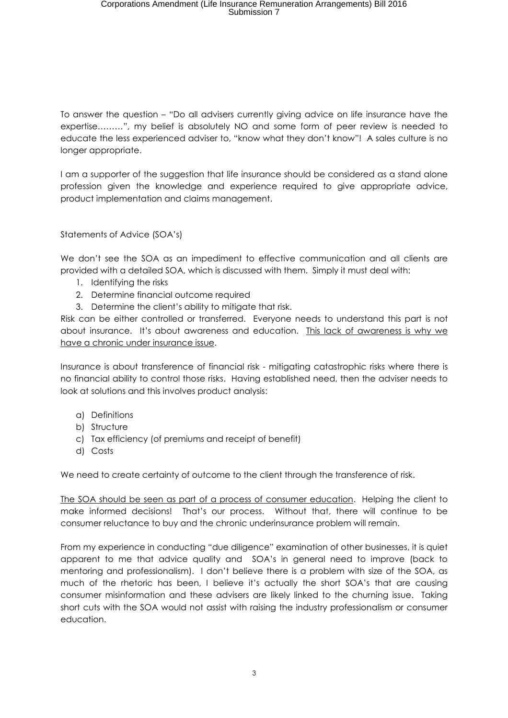To answer the question – "Do all advisers currently giving advice on life insurance have the expertise………", my belief is absolutely NO and some form of peer review is needed to educate the less experienced adviser to, "know what they don't know"! A sales culture is no longer appropriate.

I am a supporter of the suggestion that life insurance should be considered as a stand alone profession given the knowledge and experience required to give appropriate advice, product implementation and claims management.

Statements of Advice (SOA's)

We don't see the SOA as an impediment to effective communication and all clients are provided with a detailed SOA, which is discussed with them. Simply it must deal with:

- 1. Identifying the risks
- 2. Determine financial outcome required
- 3. Determine the client's ability to mitigate that risk.

Risk can be either controlled or transferred. Everyone needs to understand this part is not about insurance. It's about awareness and education. This lack of awareness is why we have a chronic under insurance issue.

Insurance is about transference of financial risk - mitigating catastrophic risks where there is no financial ability to control those risks. Having established need, then the adviser needs to look at solutions and this involves product analysis:

- a) Definitions
- b) Structure
- c) Tax efficiency (of premiums and receipt of benefit)
- d) Costs

We need to create certainty of outcome to the client through the transference of risk.

The SOA should be seen as part of a process of consumer education. Helping the client to make informed decisions! That's our process. Without that, there will continue to be consumer reluctance to buy and the chronic underinsurance problem will remain.

From my experience in conducting "due diligence" examination of other businesses, it is quiet apparent to me that advice quality and SOA's in general need to improve (back to mentoring and professionalism). I don't believe there is a problem with size of the SOA, as much of the rhetoric has been, I believe it's actually the short SOA's that are causing consumer misinformation and these advisers are likely linked to the churning issue. Taking short cuts with the SOA would not assist with raising the industry professionalism or consumer education.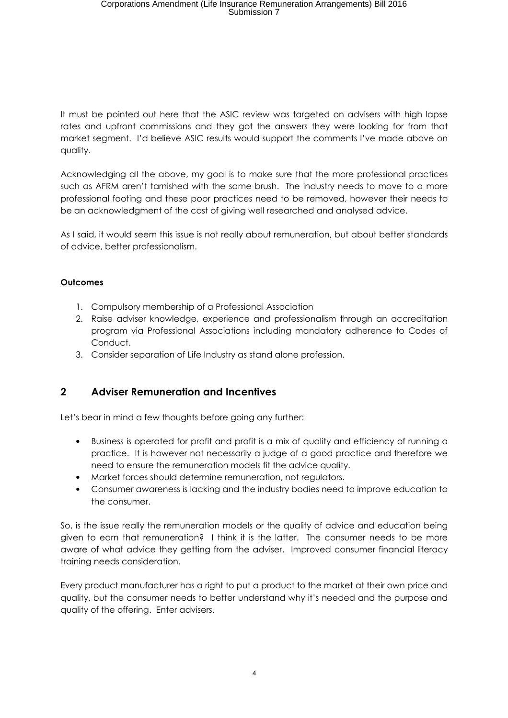It must be pointed out here that the ASIC review was targeted on advisers with high lapse rates and upfront commissions and they got the answers they were looking for from that market segment. I'd believe ASIC results would support the comments I've made above on quality.

Acknowledging all the above, my goal is to make sure that the more professional practices such as AFRM aren't tarnished with the same brush. The industry needs to move to a more professional footing and these poor practices need to be removed, however their needs to be an acknowledgment of the cost of giving well researched and analysed advice.

As I said, it would seem this issue is not really about remuneration, but about better standards of advice, better professionalism.

### **Outcomes**

- 1. Compulsory membership of a Professional Association
- 2. Raise adviser knowledge, experience and professionalism through an accreditation program via Professional Associations including mandatory adherence to Codes of Conduct.
- 3. Consider separation of Life Industry as stand alone profession.

# 2 Adviser Remuneration and Incentives

Let's bear in mind a few thoughts before going any further:

- Business is operated for profit and profit is a mix of quality and efficiency of running a practice. It is however not necessarily a judge of a good practice and therefore we need to ensure the remuneration models fit the advice quality.
- Market forces should determine remuneration, not regulators.
- Consumer awareness is lacking and the industry bodies need to improve education to the consumer.

So, is the issue really the remuneration models or the quality of advice and education being given to earn that remuneration? I think it is the latter. The consumer needs to be more aware of what advice they getting from the adviser. Improved consumer financial literacy training needs consideration.

Every product manufacturer has a right to put a product to the market at their own price and quality, but the consumer needs to better understand why it's needed and the purpose and quality of the offering. Enter advisers.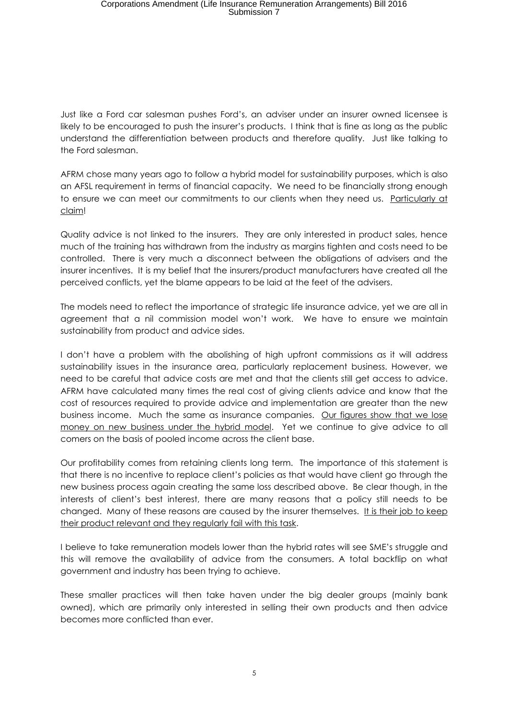Just like a Ford car salesman pushes Ford's, an adviser under an insurer owned licensee is likely to be encouraged to push the insurer's products. I think that is fine as long as the public understand the differentiation between products and therefore quality. Just like talking to the Ford salesman.

AFRM chose many years ago to follow a hybrid model for sustainability purposes, which is also an AFSL requirement in terms of financial capacity. We need to be financially strong enough to ensure we can meet our commitments to our clients when they need us. Particularly at claim!

Quality advice is not linked to the insurers. They are only interested in product sales, hence much of the training has withdrawn from the industry as margins tighten and costs need to be controlled. There is very much a disconnect between the obligations of advisers and the insurer incentives. It is my belief that the insurers/product manufacturers have created all the perceived conflicts, yet the blame appears to be laid at the feet of the advisers.

The models need to reflect the importance of strategic life insurance advice, yet we are all in agreement that a nil commission model won't work. We have to ensure we maintain sustainability from product and advice sides.

I don't have a problem with the abolishing of high upfront commissions as it will address sustainability issues in the insurance area, particularly replacement business. However, we need to be careful that advice costs are met and that the clients still get access to advice. AFRM have calculated many times the real cost of giving clients advice and know that the cost of resources required to provide advice and implementation are greater than the new business income. Much the same as insurance companies. Our figures show that we lose money on new business under the hybrid model. Yet we continue to give advice to all comers on the basis of pooled income across the client base.

Our profitability comes from retaining clients long term. The importance of this statement is that there is no incentive to replace client's policies as that would have client go through the new business process again creating the same loss described above. Be clear though, in the interests of client's best interest, there are many reasons that a policy still needs to be changed. Many of these reasons are caused by the insurer themselves. It is their job to keep their product relevant and they regularly fail with this task.

I believe to take remuneration models lower than the hybrid rates will see SME's struggle and this will remove the availability of advice from the consumers. A total backflip on what government and industry has been trying to achieve.

These smaller practices will then take haven under the big dealer groups (mainly bank owned), which are primarily only interested in selling their own products and then advice becomes more conflicted than ever.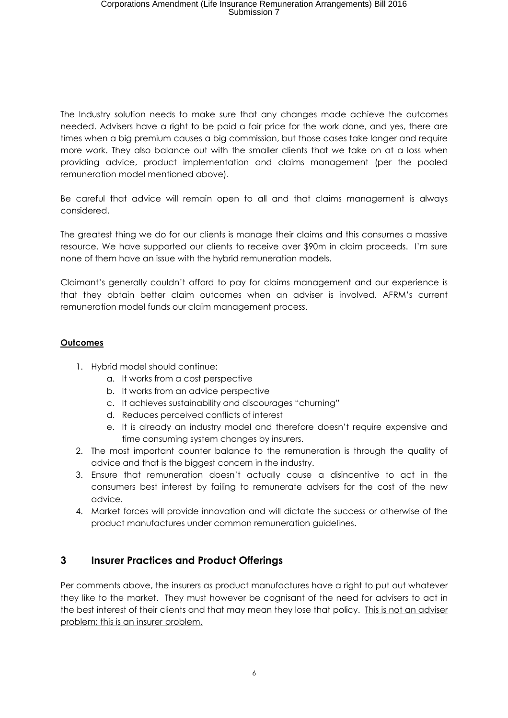The Industry solution needs to make sure that any changes made achieve the outcomes needed. Advisers have a right to be paid a fair price for the work done, and yes, there are times when a big premium causes a big commission, but those cases take longer and require more work. They also balance out with the smaller clients that we take on at a loss when providing advice, product implementation and claims management (per the pooled remuneration model mentioned above).

Be careful that advice will remain open to all and that claims management is always considered.

The greatest thing we do for our clients is manage their claims and this consumes a massive resource. We have supported our clients to receive over \$90m in claim proceeds. I'm sure none of them have an issue with the hybrid remuneration models.

Claimant's generally couldn't afford to pay for claims management and our experience is that they obtain better claim outcomes when an adviser is involved. AFRM's current remuneration model funds our claim management process.

### **Outcomes**

- 1. Hybrid model should continue:
	- a. It works from a cost perspective
	- b. It works from an advice perspective
	- c. It achieves sustainability and discourages "churning"
	- d. Reduces perceived conflicts of interest
	- e. It is already an industry model and therefore doesn't require expensive and time consuming system changes by insurers.
- 2. The most important counter balance to the remuneration is through the quality of advice and that is the biggest concern in the industry.
- 3. Ensure that remuneration doesn't actually cause a disincentive to act in the consumers best interest by failing to remunerate advisers for the cost of the new advice.
- 4. Market forces will provide innovation and will dictate the success or otherwise of the product manufactures under common remuneration guidelines.

# 3 Insurer Practices and Product Offerings

Per comments above, the insurers as product manufactures have a right to put out whatever they like to the market. They must however be cognisant of the need for advisers to act in the best interest of their clients and that may mean they lose that policy. This is not an adviser problem; this is an insurer problem.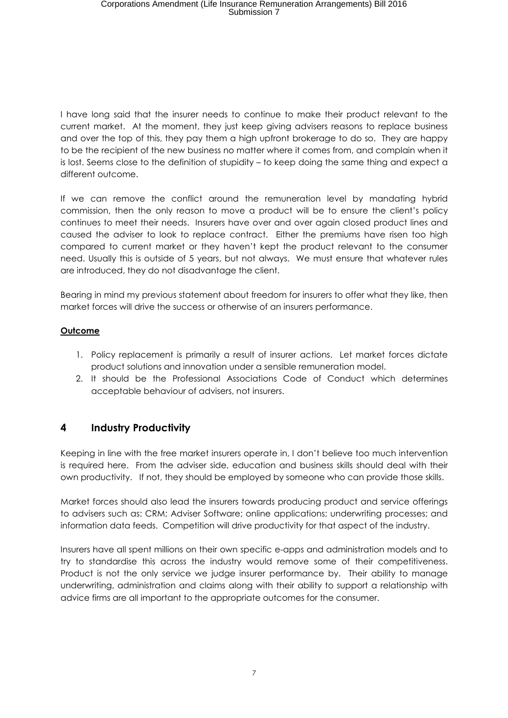I have long said that the insurer needs to continue to make their product relevant to the current market. At the moment, they just keep giving advisers reasons to replace business and over the top of this, they pay them a high upfront brokerage to do so. They are happy to be the recipient of the new business no matter where it comes from, and complain when it is lost. Seems close to the definition of stupidity – to keep doing the same thing and expect a different outcome.

If we can remove the conflict around the remuneration level by mandating hybrid commission, then the only reason to move a product will be to ensure the client's policy continues to meet their needs. Insurers have over and over again closed product lines and caused the adviser to look to replace contract. Either the premiums have risen too high compared to current market or they haven't kept the product relevant to the consumer need. Usually this is outside of 5 years, but not always. We must ensure that whatever rules are introduced, they do not disadvantage the client.

Bearing in mind my previous statement about freedom for insurers to offer what they like, then market forces will drive the success or otherwise of an insurers performance.

## **Outcome**

- 1. Policy replacement is primarily a result of insurer actions. Let market forces dictate product solutions and innovation under a sensible remuneration model.
- 2. It should be the Professional Associations Code of Conduct which determines acceptable behaviour of advisers, not insurers.

# 4 Industry Productivity

Keeping in line with the free market insurers operate in, I don't believe too much intervention is required here. From the adviser side, education and business skills should deal with their own productivity. If not, they should be employed by someone who can provide those skills.

Market forces should also lead the insurers towards producing product and service offerings to advisers such as: CRM; Adviser Software; online applications; underwriting processes; and information data feeds. Competition will drive productivity for that aspect of the industry.

Insurers have all spent millions on their own specific e-apps and administration models and to try to standardise this across the industry would remove some of their competitiveness. Product is not the only service we judge insurer performance by. Their ability to manage underwriting, administration and claims along with their ability to support a relationship with advice firms are all important to the appropriate outcomes for the consumer.